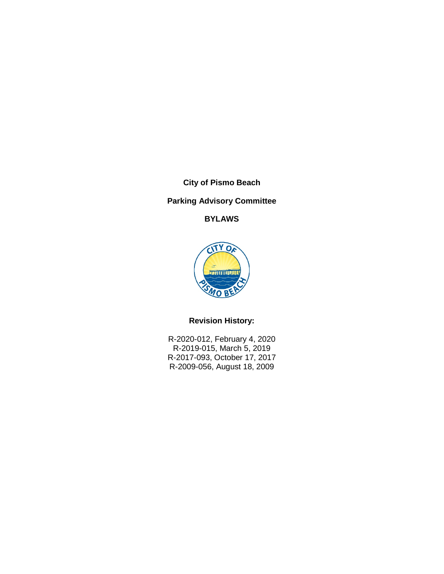**City of Pismo Beach**

# **Parking Advisory Committee**

**BYLAWS**



# **Revision History:**

R-2020-012, February 4, 2020 R-2019-015, March 5, 2019 R-2017-093, October 17, 2017 R-2009-056, August 18, 2009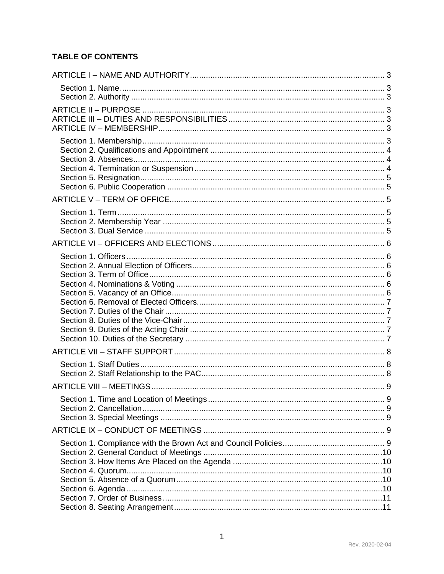# **TABLE OF CONTENTS**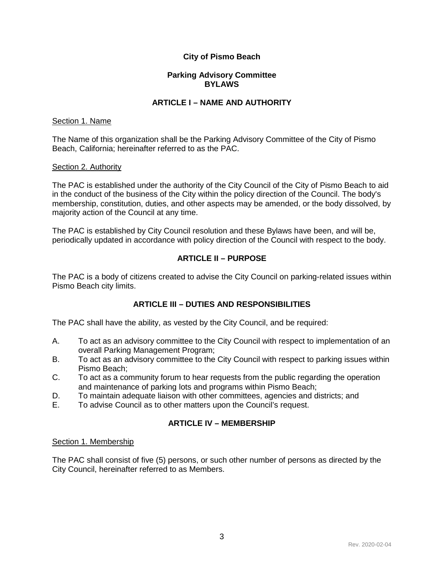# **City of Pismo Beach**

## **Parking Advisory Committee BYLAWS**

### **ARTICLE I – NAME AND AUTHORITY**

### <span id="page-3-1"></span><span id="page-3-0"></span>Section 1. Name

The Name of this organization shall be the Parking Advisory Committee of the City of Pismo Beach, California; hereinafter referred to as the PAC.

### <span id="page-3-2"></span>Section 2. Authority

The PAC is established under the authority of the City Council of the City of Pismo Beach to aid in the conduct of the business of the City within the policy direction of the Council. The body's membership, constitution, duties, and other aspects may be amended, or the body dissolved, by majority action of the Council at any time.

The PAC is established by City Council resolution and these Bylaws have been, and will be, periodically updated in accordance with policy direction of the Council with respect to the body.

### **ARTICLE II – PURPOSE**

<span id="page-3-3"></span>The PAC is a body of citizens created to advise the City Council on parking-related issues within Pismo Beach city limits.

# **ARTICLE III – DUTIES AND RESPONSIBILITIES**

<span id="page-3-4"></span>The PAC shall have the ability, as vested by the City Council, and be required:

- A. To act as an advisory committee to the City Council with respect to implementation of an overall Parking Management Program;
- B. To act as an advisory committee to the City Council with respect to parking issues within Pismo Beach;
- C. To act as a community forum to hear requests from the public regarding the operation and maintenance of parking lots and programs within Pismo Beach;
- D. To maintain adequate liaison with other committees, agencies and districts; and<br>E. To advise Council as to other matters upon the Council's request.
- <span id="page-3-5"></span>To advise Council as to other matters upon the Council's request.

## **ARTICLE IV – MEMBERSHIP**

### <span id="page-3-6"></span>Section 1. Membership

The PAC shall consist of five (5) persons, or such other number of persons as directed by the City Council, hereinafter referred to as Members.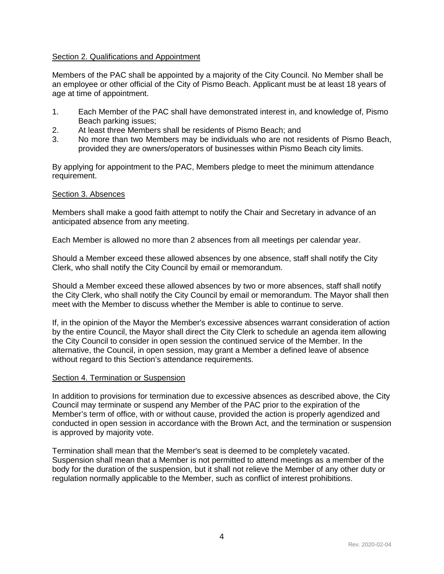## <span id="page-4-0"></span>Section 2. Qualifications and Appointment

Members of the PAC shall be appointed by a majority of the City Council. No Member shall be an employee or other official of the City of Pismo Beach. Applicant must be at least 18 years of age at time of appointment.

- 1. Each Member of the PAC shall have demonstrated interest in, and knowledge of, Pismo Beach parking issues;
- 2. At least three Members shall be residents of Pismo Beach; and
- 3. No more than two Members may be individuals who are not residents of Pismo Beach, provided they are owners/operators of businesses within Pismo Beach city limits.

By applying for appointment to the PAC, Members pledge to meet the minimum attendance requirement.

### <span id="page-4-1"></span>Section 3. Absences

Members shall make a good faith attempt to notify the Chair and Secretary in advance of an anticipated absence from any meeting.

Each Member is allowed no more than 2 absences from all meetings per calendar year.

Should a Member exceed these allowed absences by one absence, staff shall notify the City Clerk, who shall notify the City Council by email or memorandum.

Should a Member exceed these allowed absences by two or more absences, staff shall notify the City Clerk, who shall notify the City Council by email or memorandum. The Mayor shall then meet with the Member to discuss whether the Member is able to continue to serve.

If, in the opinion of the Mayor the Member's excessive absences warrant consideration of action by the entire Council, the Mayor shall direct the City Clerk to schedule an agenda item allowing the City Council to consider in open session the continued service of the Member. In the alternative, the Council, in open session, may grant a Member a defined leave of absence without regard to this Section's attendance requirements.

### <span id="page-4-2"></span>Section 4. Termination or Suspension

In addition to provisions for termination due to excessive absences as described above, the City Council may terminate or suspend any Member of the PAC prior to the expiration of the Member's term of office, with or without cause, provided the action is properly agendized and conducted in open session in accordance with the Brown Act, and the termination or suspension is approved by majority vote.

Termination shall mean that the Member's seat is deemed to be completely vacated. Suspension shall mean that a Member is not permitted to attend meetings as a member of the body for the duration of the suspension, but it shall not relieve the Member of any other duty or regulation normally applicable to the Member, such as conflict of interest prohibitions.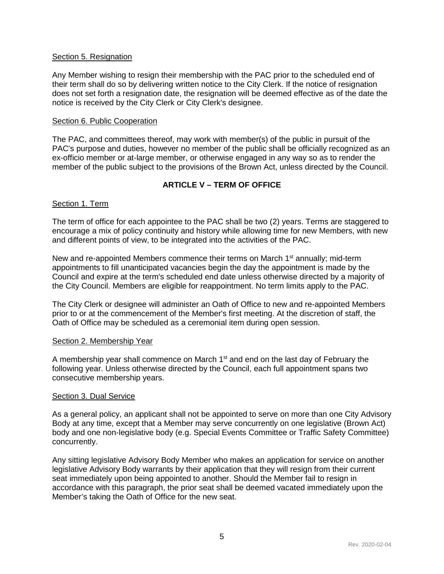### <span id="page-5-0"></span>Section 5. Resignation

Any Member wishing to resign their membership with the PAC prior to the scheduled end of their term shall do so by delivering written notice to the City Clerk. If the notice of resignation does not set forth a resignation date, the resignation will be deemed effective as of the date the notice is received by the City Clerk or City Clerk's designee.

### <span id="page-5-1"></span>Section 6. Public Cooperation

The PAC, and committees thereof, may work with member(s) of the public in pursuit of the PAC's purpose and duties, however no member of the public shall be officially recognized as an ex-officio member or at-large member, or otherwise engaged in any way so as to render the member of the public subject to the provisions of the Brown Act, unless directed by the Council.

# **ARTICLE V – TERM OF OFFICE**

### <span id="page-5-3"></span><span id="page-5-2"></span>Section 1. Term

The term of office for each appointee to the PAC shall be two (2) years. Terms are staggered to encourage a mix of policy continuity and history while allowing time for new Members, with new and different points of view, to be integrated into the activities of the PAC.

New and re-appointed Members commence their terms on March 1<sup>st</sup> annually; mid-term appointments to fill unanticipated vacancies begin the day the appointment is made by the Council and expire at the term's scheduled end date unless otherwise directed by a majority of the City Council. Members are eligible for reappointment. No term limits apply to the PAC.

The City Clerk or designee will administer an Oath of Office to new and re-appointed Members prior to or at the commencement of the Member's first meeting. At the discretion of staff, the Oath of Office may be scheduled as a ceremonial item during open session.

### <span id="page-5-4"></span>Section 2. Membership Year

A membership year shall commence on March  $1<sup>st</sup>$  and end on the last day of February the following year. Unless otherwise directed by the Council, each full appointment spans two consecutive membership years.

### <span id="page-5-5"></span>Section 3. Dual Service

As a general policy, an applicant shall not be appointed to serve on more than one City Advisory Body at any time, except that a Member may serve concurrently on one legislative (Brown Act) body and one non-legislative body (e.g. Special Events Committee or Traffic Safety Committee) concurrently.

Any sitting legislative Advisory Body Member who makes an application for service on another legislative Advisory Body warrants by their application that they will resign from their current seat immediately upon being appointed to another. Should the Member fail to resign in accordance with this paragraph, the prior seat shall be deemed vacated immediately upon the Member's taking the Oath of Office for the new seat.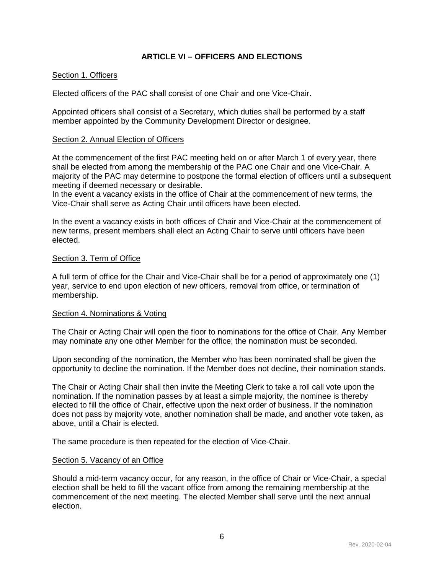# **ARTICLE VI – OFFICERS AND ELECTIONS**

### <span id="page-6-1"></span><span id="page-6-0"></span>Section 1. Officers

Elected officers of the PAC shall consist of one Chair and one Vice-Chair.

Appointed officers shall consist of a Secretary, which duties shall be performed by a staff member appointed by the Community Development Director or designee.

#### <span id="page-6-2"></span>Section 2. Annual Election of Officers

At the commencement of the first PAC meeting held on or after March 1 of every year, there shall be elected from among the membership of the PAC one Chair and one Vice-Chair. A majority of the PAC may determine to postpone the formal election of officers until a subsequent meeting if deemed necessary or desirable.

In the event a vacancy exists in the office of Chair at the commencement of new terms, the Vice-Chair shall serve as Acting Chair until officers have been elected.

In the event a vacancy exists in both offices of Chair and Vice-Chair at the commencement of new terms, present members shall elect an Acting Chair to serve until officers have been elected.

### <span id="page-6-3"></span>Section 3. Term of Office

A full term of office for the Chair and Vice-Chair shall be for a period of approximately one (1) year, service to end upon election of new officers, removal from office, or termination of membership.

### <span id="page-6-4"></span>Section 4. Nominations & Voting

The Chair or Acting Chair will open the floor to nominations for the office of Chair. Any Member may nominate any one other Member for the office; the nomination must be seconded.

Upon seconding of the nomination, the Member who has been nominated shall be given the opportunity to decline the nomination. If the Member does not decline, their nomination stands.

The Chair or Acting Chair shall then invite the Meeting Clerk to take a roll call vote upon the nomination. If the nomination passes by at least a simple majority, the nominee is thereby elected to fill the office of Chair, effective upon the next order of business. If the nomination does not pass by majority vote, another nomination shall be made, and another vote taken, as above, until a Chair is elected.

The same procedure is then repeated for the election of Vice-Chair.

### <span id="page-6-5"></span>Section 5. Vacancy of an Office

Should a mid-term vacancy occur, for any reason, in the office of Chair or Vice-Chair, a special election shall be held to fill the vacant office from among the remaining membership at the commencement of the next meeting. The elected Member shall serve until the next annual election.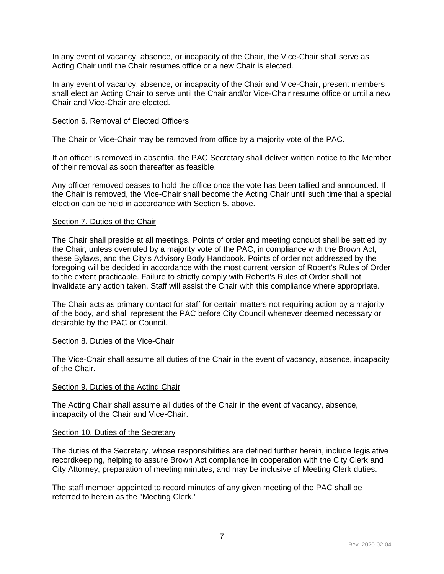In any event of vacancy, absence, or incapacity of the Chair, the Vice-Chair shall serve as Acting Chair until the Chair resumes office or a new Chair is elected.

In any event of vacancy, absence, or incapacity of the Chair and Vice-Chair, present members shall elect an Acting Chair to serve until the Chair and/or Vice-Chair resume office or until a new Chair and Vice-Chair are elected.

#### <span id="page-7-0"></span>Section 6. Removal of Elected Officers

The Chair or Vice-Chair may be removed from office by a majority vote of the PAC.

If an officer is removed in absentia, the PAC Secretary shall deliver written notice to the Member of their removal as soon thereafter as feasible.

Any officer removed ceases to hold the office once the vote has been tallied and announced. If the Chair is removed, the Vice-Chair shall become the Acting Chair until such time that a special election can be held in accordance with Section 5. above.

#### <span id="page-7-1"></span>Section 7. Duties of the Chair

The Chair shall preside at all meetings. Points of order and meeting conduct shall be settled by the Chair, unless overruled by a majority vote of the PAC, in compliance with the Brown Act, these Bylaws, and the City's Advisory Body Handbook. Points of order not addressed by the foregoing will be decided in accordance with the most current version of Robert's Rules of Order to the extent practicable. Failure to strictly comply with Robert's Rules of Order shall not invalidate any action taken. Staff will assist the Chair with this compliance where appropriate.

The Chair acts as primary contact for staff for certain matters not requiring action by a majority of the body, and shall represent the PAC before City Council whenever deemed necessary or desirable by the PAC or Council.

#### <span id="page-7-2"></span>Section 8. Duties of the Vice-Chair

The Vice-Chair shall assume all duties of the Chair in the event of vacancy, absence, incapacity of the Chair.

#### <span id="page-7-3"></span>Section 9. Duties of the Acting Chair

The Acting Chair shall assume all duties of the Chair in the event of vacancy, absence, incapacity of the Chair and Vice-Chair.

#### <span id="page-7-4"></span>Section 10. Duties of the Secretary

The duties of the Secretary, whose responsibilities are defined further herein, include legislative recordkeeping, helping to assure Brown Act compliance in cooperation with the City Clerk and City Attorney, preparation of meeting minutes, and may be inclusive of Meeting Clerk duties.

The staff member appointed to record minutes of any given meeting of the PAC shall be referred to herein as the "Meeting Clerk."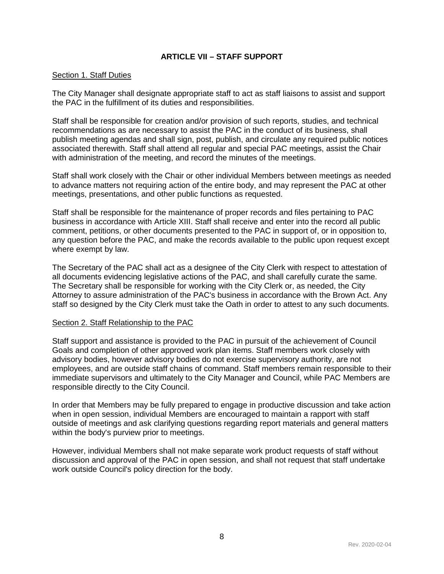# **ARTICLE VII – STAFF SUPPORT**

### <span id="page-8-1"></span><span id="page-8-0"></span>Section 1. Staff Duties

The City Manager shall designate appropriate staff to act as staff liaisons to assist and support the PAC in the fulfillment of its duties and responsibilities.

Staff shall be responsible for creation and/or provision of such reports, studies, and technical recommendations as are necessary to assist the PAC in the conduct of its business, shall publish meeting agendas and shall sign, post, publish, and circulate any required public notices associated therewith. Staff shall attend all regular and special PAC meetings, assist the Chair with administration of the meeting, and record the minutes of the meetings.

Staff shall work closely with the Chair or other individual Members between meetings as needed to advance matters not requiring action of the entire body, and may represent the PAC at other meetings, presentations, and other public functions as requested.

Staff shall be responsible for the maintenance of proper records and files pertaining to PAC business in accordance with Article XIII. Staff shall receive and enter into the record all public comment, petitions, or other documents presented to the PAC in support of, or in opposition to, any question before the PAC, and make the records available to the public upon request except where exempt by law.

The Secretary of the PAC shall act as a designee of the City Clerk with respect to attestation of all documents evidencing legislative actions of the PAC, and shall carefully curate the same. The Secretary shall be responsible for working with the City Clerk or, as needed, the City Attorney to assure administration of the PAC's business in accordance with the Brown Act. Any staff so designed by the City Clerk must take the Oath in order to attest to any such documents.

## <span id="page-8-2"></span>Section 2. Staff Relationship to the PAC

Staff support and assistance is provided to the PAC in pursuit of the achievement of Council Goals and completion of other approved work plan items. Staff members work closely with advisory bodies, however advisory bodies do not exercise supervisory authority, are not employees, and are outside staff chains of command. Staff members remain responsible to their immediate supervisors and ultimately to the City Manager and Council, while PAC Members are responsible directly to the City Council.

In order that Members may be fully prepared to engage in productive discussion and take action when in open session, individual Members are encouraged to maintain a rapport with staff outside of meetings and ask clarifying questions regarding report materials and general matters within the body's purview prior to meetings.

However, individual Members shall not make separate work product requests of staff without discussion and approval of the PAC in open session, and shall not request that staff undertake work outside Council's policy direction for the body.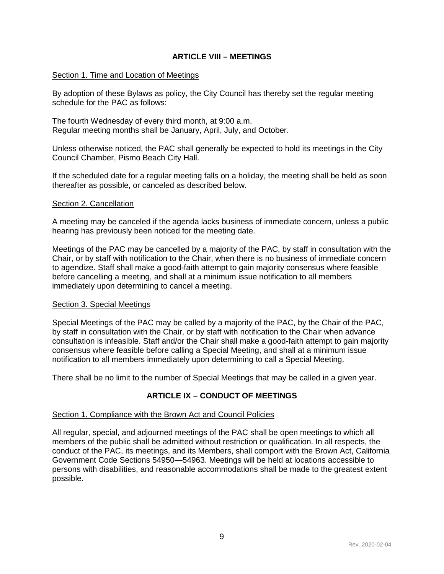### **ARTICLE VIII – MEETINGS**

### <span id="page-9-1"></span><span id="page-9-0"></span>Section 1. Time and Location of Meetings

By adoption of these Bylaws as policy, the City Council has thereby set the regular meeting schedule for the PAC as follows:

The fourth Wednesday of every third month, at 9:00 a.m. Regular meeting months shall be January, April, July, and October.

Unless otherwise noticed, the PAC shall generally be expected to hold its meetings in the City Council Chamber, Pismo Beach City Hall.

If the scheduled date for a regular meeting falls on a holiday, the meeting shall be held as soon thereafter as possible, or canceled as described below.

#### <span id="page-9-2"></span>Section 2. Cancellation

A meeting may be canceled if the agenda lacks business of immediate concern, unless a public hearing has previously been noticed for the meeting date.

Meetings of the PAC may be cancelled by a majority of the PAC, by staff in consultation with the Chair, or by staff with notification to the Chair, when there is no business of immediate concern to agendize. Staff shall make a good-faith attempt to gain majority consensus where feasible before cancelling a meeting, and shall at a minimum issue notification to all members immediately upon determining to cancel a meeting.

### <span id="page-9-3"></span>Section 3. Special Meetings

Special Meetings of the PAC may be called by a majority of the PAC, by the Chair of the PAC, by staff in consultation with the Chair, or by staff with notification to the Chair when advance consultation is infeasible. Staff and/or the Chair shall make a good-faith attempt to gain majority consensus where feasible before calling a Special Meeting, and shall at a minimum issue notification to all members immediately upon determining to call a Special Meeting.

<span id="page-9-4"></span>There shall be no limit to the number of Special Meetings that may be called in a given year.

## **ARTICLE IX – CONDUCT OF MEETINGS**

#### <span id="page-9-5"></span>Section 1. Compliance with the Brown Act and Council Policies

All regular, special, and adjourned meetings of the PAC shall be open meetings to which all members of the public shall be admitted without restriction or qualification. In all respects, the conduct of the PAC, its meetings, and its Members, shall comport with the Brown Act, California Government Code Sections 54950—54963. Meetings will be held at locations accessible to persons with disabilities, and reasonable accommodations shall be made to the greatest extent possible.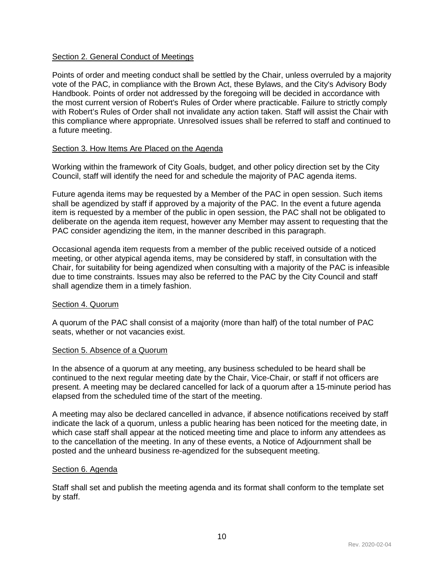### <span id="page-10-0"></span>Section 2. General Conduct of Meetings

Points of order and meeting conduct shall be settled by the Chair, unless overruled by a majority vote of the PAC, in compliance with the Brown Act, these Bylaws, and the City's Advisory Body Handbook. Points of order not addressed by the foregoing will be decided in accordance with the most current version of Robert's Rules of Order where practicable. Failure to strictly comply with Robert's Rules of Order shall not invalidate any action taken. Staff will assist the Chair with this compliance where appropriate. Unresolved issues shall be referred to staff and continued to a future meeting.

### <span id="page-10-1"></span>Section 3. How Items Are Placed on the Agenda

Working within the framework of City Goals, budget, and other policy direction set by the City Council, staff will identify the need for and schedule the majority of PAC agenda items.

Future agenda items may be requested by a Member of the PAC in open session. Such items shall be agendized by staff if approved by a majority of the PAC. In the event a future agenda item is requested by a member of the public in open session, the PAC shall not be obligated to deliberate on the agenda item request, however any Member may assent to requesting that the PAC consider agendizing the item, in the manner described in this paragraph.

Occasional agenda item requests from a member of the public received outside of a noticed meeting, or other atypical agenda items, may be considered by staff, in consultation with the Chair, for suitability for being agendized when consulting with a majority of the PAC is infeasible due to time constraints. Issues may also be referred to the PAC by the City Council and staff shall agendize them in a timely fashion.

### <span id="page-10-2"></span>Section 4. Quorum

A quorum of the PAC shall consist of a majority (more than half) of the total number of PAC seats, whether or not vacancies exist.

### <span id="page-10-3"></span>Section 5. Absence of a Quorum

In the absence of a quorum at any meeting, any business scheduled to be heard shall be continued to the next regular meeting date by the Chair, Vice-Chair, or staff if not officers are present. A meeting may be declared cancelled for lack of a quorum after a 15-minute period has elapsed from the scheduled time of the start of the meeting.

A meeting may also be declared cancelled in advance, if absence notifications received by staff indicate the lack of a quorum, unless a public hearing has been noticed for the meeting date, in which case staff shall appear at the noticed meeting time and place to inform any attendees as to the cancellation of the meeting. In any of these events, a Notice of Adjournment shall be posted and the unheard business re-agendized for the subsequent meeting.

## <span id="page-10-4"></span>Section 6. Agenda

Staff shall set and publish the meeting agenda and its format shall conform to the template set by staff.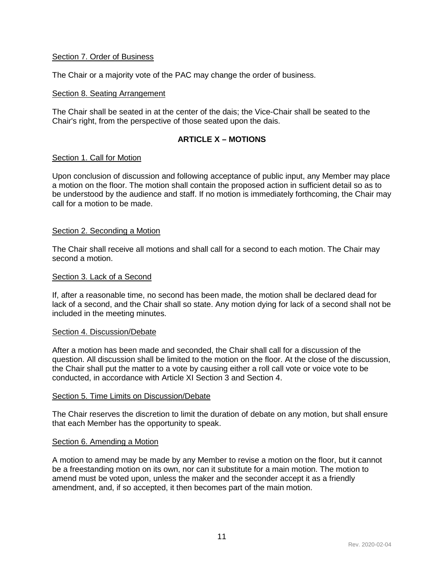### <span id="page-11-0"></span>Section 7. Order of Business

The Chair or a majority vote of the PAC may change the order of business.

### <span id="page-11-1"></span>Section 8. Seating Arrangement

The Chair shall be seated in at the center of the dais; the Vice-Chair shall be seated to the Chair's right, from the perspective of those seated upon the dais.

## **ARTICLE X – MOTIONS**

### <span id="page-11-3"></span><span id="page-11-2"></span>Section 1. Call for Motion

Upon conclusion of discussion and following acceptance of public input, any Member may place a motion on the floor. The motion shall contain the proposed action in sufficient detail so as to be understood by the audience and staff. If no motion is immediately forthcoming, the Chair may call for a motion to be made.

### <span id="page-11-4"></span>Section 2. Seconding a Motion

The Chair shall receive all motions and shall call for a second to each motion. The Chair may second a motion.

### <span id="page-11-5"></span>Section 3. Lack of a Second

If, after a reasonable time, no second has been made, the motion shall be declared dead for lack of a second, and the Chair shall so state. Any motion dying for lack of a second shall not be included in the meeting minutes.

### <span id="page-11-6"></span>Section 4. Discussion/Debate

After a motion has been made and seconded, the Chair shall call for a discussion of the question. All discussion shall be limited to the motion on the floor. At the close of the discussion, the Chair shall put the matter to a vote by causing either a roll call vote or voice vote to be conducted, in accordance with Article XI Section 3 and Section 4.

#### <span id="page-11-7"></span>Section 5. Time Limits on Discussion/Debate

The Chair reserves the discretion to limit the duration of debate on any motion, but shall ensure that each Member has the opportunity to speak.

### <span id="page-11-8"></span>Section 6. Amending a Motion

A motion to amend may be made by any Member to revise a motion on the floor, but it cannot be a freestanding motion on its own, nor can it substitute for a main motion. The motion to amend must be voted upon, unless the maker and the seconder accept it as a friendly amendment, and, if so accepted, it then becomes part of the main motion.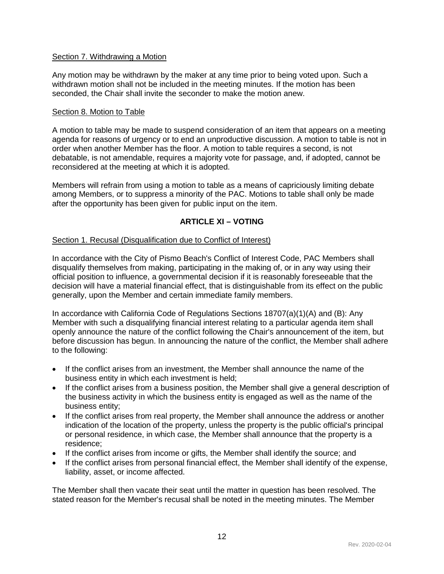## <span id="page-12-0"></span>Section 7. Withdrawing a Motion

Any motion may be withdrawn by the maker at any time prior to being voted upon. Such a withdrawn motion shall not be included in the meeting minutes. If the motion has been seconded, the Chair shall invite the seconder to make the motion anew.

### <span id="page-12-1"></span>Section 8. Motion to Table

A motion to table may be made to suspend consideration of an item that appears on a meeting agenda for reasons of urgency or to end an unproductive discussion. A motion to table is not in order when another Member has the floor. A motion to table requires a second, is not debatable, is not amendable, requires a majority vote for passage, and, if adopted, cannot be reconsidered at the meeting at which it is adopted.

Members will refrain from using a motion to table as a means of capriciously limiting debate among Members, or to suppress a minority of the PAC. Motions to table shall only be made after the opportunity has been given for public input on the item.

## **ARTICLE XI – VOTING**

### <span id="page-12-3"></span><span id="page-12-2"></span>Section 1. Recusal (Disqualification due to Conflict of Interest)

In accordance with the City of Pismo Beach's Conflict of Interest Code, PAC Members shall disqualify themselves from making, participating in the making of, or in any way using their official position to influence, a governmental decision if it is reasonably foreseeable that the decision will have a material financial effect, that is distinguishable from its effect on the public generally, upon the Member and certain immediate family members.

In accordance with California Code of Regulations Sections  $18707(a)(1)(A)$  and (B): Any Member with such a disqualifying financial interest relating to a particular agenda item shall openly announce the nature of the conflict following the Chair's announcement of the item, but before discussion has begun. In announcing the nature of the conflict, the Member shall adhere to the following:

- If the conflict arises from an investment, the Member shall announce the name of the business entity in which each investment is held;
- If the conflict arises from a business position, the Member shall give a general description of the business activity in which the business entity is engaged as well as the name of the business entity;
- If the conflict arises from real property, the Member shall announce the address or another indication of the location of the property, unless the property is the public official's principal or personal residence, in which case, the Member shall announce that the property is a residence;
- If the conflict arises from income or gifts, the Member shall identify the source; and
- If the conflict arises from personal financial effect, the Member shall identify of the expense, liability, asset, or income affected.

The Member shall then vacate their seat until the matter in question has been resolved. The stated reason for the Member's recusal shall be noted in the meeting minutes. The Member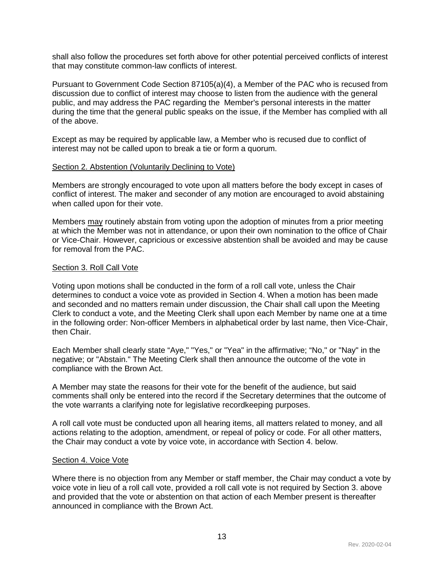shall also follow the procedures set forth above for other potential perceived conflicts of interest that may constitute common-law conflicts of interest.

Pursuant to Government Code Section 87105(a)(4), a Member of the PAC who is recused from discussion due to conflict of interest may choose to listen from the audience with the general public, and may address the PAC regarding the Member's personal interests in the matter during the time that the general public speaks on the issue, if the Member has complied with all of the above.

Except as may be required by applicable law, a Member who is recused due to conflict of interest may not be called upon to break a tie or form a quorum.

### <span id="page-13-0"></span>Section 2. Abstention (Voluntarily Declining to Vote)

Members are strongly encouraged to vote upon all matters before the body except in cases of conflict of interest. The maker and seconder of any motion are encouraged to avoid abstaining when called upon for their vote.

Members may routinely abstain from voting upon the adoption of minutes from a prior meeting at which the Member was not in attendance, or upon their own nomination to the office of Chair or Vice-Chair. However, capricious or excessive abstention shall be avoided and may be cause for removal from the PAC.

### <span id="page-13-1"></span>Section 3. Roll Call Vote

Voting upon motions shall be conducted in the form of a roll call vote, unless the Chair determines to conduct a voice vote as provided in Section 4. When a motion has been made and seconded and no matters remain under discussion, the Chair shall call upon the Meeting Clerk to conduct a vote, and the Meeting Clerk shall upon each Member by name one at a time in the following order: Non-officer Members in alphabetical order by last name, then Vice-Chair, then Chair.

Each Member shall clearly state "Aye," "Yes," or "Yea" in the affirmative; "No," or "Nay" in the negative; or "Abstain." The Meeting Clerk shall then announce the outcome of the vote in compliance with the Brown Act.

A Member may state the reasons for their vote for the benefit of the audience, but said comments shall only be entered into the record if the Secretary determines that the outcome of the vote warrants a clarifying note for legislative recordkeeping purposes.

A roll call vote must be conducted upon all hearing items, all matters related to money, and all actions relating to the adoption, amendment, or repeal of policy or code. For all other matters, the Chair may conduct a vote by voice vote, in accordance with Section 4. below.

### <span id="page-13-2"></span>Section 4. Voice Vote

Where there is no objection from any Member or staff member, the Chair may conduct a vote by voice vote in lieu of a roll call vote, provided a roll call vote is not required by Section 3. above and provided that the vote or abstention on that action of each Member present is thereafter announced in compliance with the Brown Act.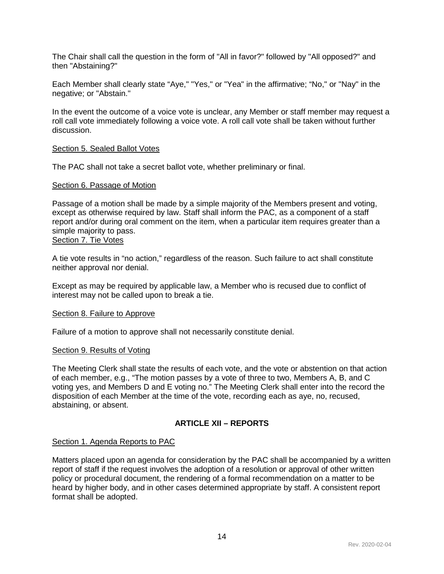The Chair shall call the question in the form of "All in favor?" followed by "All opposed?" and then "Abstaining?"

Each Member shall clearly state "Aye," "Yes," or "Yea" in the affirmative; "No," or "Nay" in the negative; or "Abstain."

In the event the outcome of a voice vote is unclear, any Member or staff member may request a roll call vote immediately following a voice vote. A roll call vote shall be taken without further discussion.

#### <span id="page-14-0"></span>Section 5. Sealed Ballot Votes

The PAC shall not take a secret ballot vote, whether preliminary or final.

#### <span id="page-14-1"></span>Section 6. Passage of Motion

Passage of a motion shall be made by a simple majority of the Members present and voting, except as otherwise required by law. Staff shall inform the PAC, as a component of a staff report and/or during oral comment on the item, when a particular item requires greater than a simple majority to pass.

# <span id="page-14-2"></span>Section 7. Tie Votes

A tie vote results in "no action," regardless of the reason. Such failure to act shall constitute neither approval nor denial.

Except as may be required by applicable law, a Member who is recused due to conflict of interest may not be called upon to break a tie.

### <span id="page-14-3"></span>Section 8. Failure to Approve

Failure of a motion to approve shall not necessarily constitute denial.

### <span id="page-14-4"></span>Section 9. Results of Voting

The Meeting Clerk shall state the results of each vote, and the vote or abstention on that action of each member, e.g., "The motion passes by a vote of three to two, Members A, B, and C voting yes, and Members D and E voting no." The Meeting Clerk shall enter into the record the disposition of each Member at the time of the vote, recording each as aye, no, recused, abstaining, or absent.

# **ARTICLE XII – REPORTS**

### <span id="page-14-6"></span><span id="page-14-5"></span>Section 1. Agenda Reports to PAC

Matters placed upon an agenda for consideration by the PAC shall be accompanied by a written report of staff if the request involves the adoption of a resolution or approval of other written policy or procedural document, the rendering of a formal recommendation on a matter to be heard by higher body, and in other cases determined appropriate by staff. A consistent report format shall be adopted.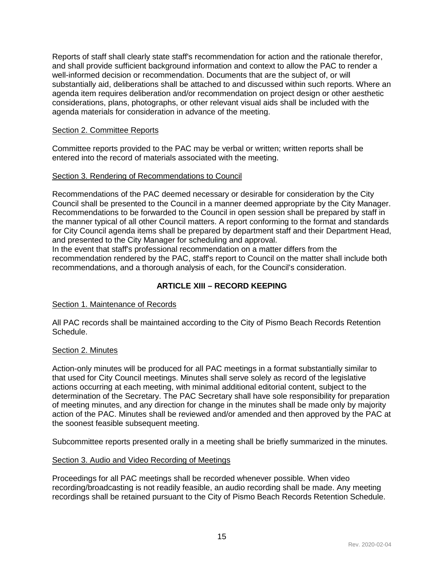Reports of staff shall clearly state staff's recommendation for action and the rationale therefor, and shall provide sufficient background information and context to allow the PAC to render a well-informed decision or recommendation. Documents that are the subject of, or will substantially aid, deliberations shall be attached to and discussed within such reports. Where an agenda item requires deliberation and/or recommendation on project design or other aesthetic considerations, plans, photographs, or other relevant visual aids shall be included with the agenda materials for consideration in advance of the meeting.

## <span id="page-15-0"></span>Section 2. Committee Reports

Committee reports provided to the PAC may be verbal or written; written reports shall be entered into the record of materials associated with the meeting.

## <span id="page-15-1"></span>Section 3. Rendering of Recommendations to Council

Recommendations of the PAC deemed necessary or desirable for consideration by the City Council shall be presented to the Council in a manner deemed appropriate by the City Manager. Recommendations to be forwarded to the Council in open session shall be prepared by staff in the manner typical of all other Council matters. A report conforming to the format and standards for City Council agenda items shall be prepared by department staff and their Department Head, and presented to the City Manager for scheduling and approval.

In the event that staff's professional recommendation on a matter differs from the recommendation rendered by the PAC, staff's report to Council on the matter shall include both recommendations, and a thorough analysis of each, for the Council's consideration.

# **ARTICLE XIII – RECORD KEEPING**

## <span id="page-15-3"></span><span id="page-15-2"></span>Section 1. Maintenance of Records

All PAC records shall be maintained according to the City of Pismo Beach Records Retention Schedule.

### <span id="page-15-4"></span>Section 2. Minutes

Action-only minutes will be produced for all PAC meetings in a format substantially similar to that used for City Council meetings. Minutes shall serve solely as record of the legislative actions occurring at each meeting, with minimal additional editorial content, subject to the determination of the Secretary. The PAC Secretary shall have sole responsibility for preparation of meeting minutes, and any direction for change in the minutes shall be made only by majority action of the PAC. Minutes shall be reviewed and/or amended and then approved by the PAC at the soonest feasible subsequent meeting.

Subcommittee reports presented orally in a meeting shall be briefly summarized in the minutes.

### <span id="page-15-5"></span>Section 3. Audio and Video Recording of Meetings

Proceedings for all PAC meetings shall be recorded whenever possible. When video recording/broadcasting is not readily feasible, an audio recording shall be made. Any meeting recordings shall be retained pursuant to the City of Pismo Beach Records Retention Schedule.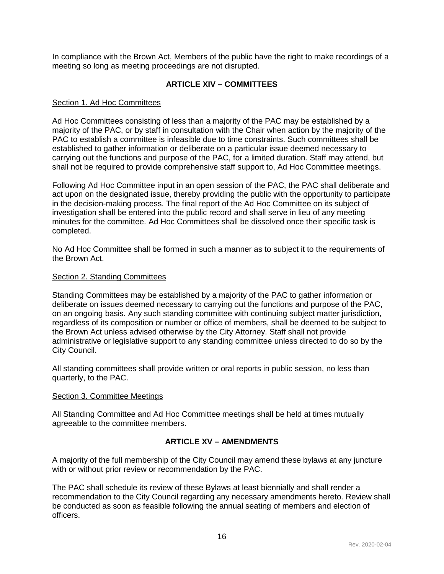In compliance with the Brown Act, Members of the public have the right to make recordings of a meeting so long as meeting proceedings are not disrupted.

# **ARTICLE XIV – COMMITTEES**

### <span id="page-16-1"></span><span id="page-16-0"></span>Section 1. Ad Hoc Committees

Ad Hoc Committees consisting of less than a majority of the PAC may be established by a majority of the PAC, or by staff in consultation with the Chair when action by the majority of the PAC to establish a committee is infeasible due to time constraints. Such committees shall be established to gather information or deliberate on a particular issue deemed necessary to carrying out the functions and purpose of the PAC, for a limited duration. Staff may attend, but shall not be required to provide comprehensive staff support to, Ad Hoc Committee meetings.

Following Ad Hoc Committee input in an open session of the PAC, the PAC shall deliberate and act upon on the designated issue, thereby providing the public with the opportunity to participate in the decision-making process. The final report of the Ad Hoc Committee on its subject of investigation shall be entered into the public record and shall serve in lieu of any meeting minutes for the committee. Ad Hoc Committees shall be dissolved once their specific task is completed.

No Ad Hoc Committee shall be formed in such a manner as to subject it to the requirements of the Brown Act.

### <span id="page-16-2"></span>Section 2. Standing Committees

Standing Committees may be established by a majority of the PAC to gather information or deliberate on issues deemed necessary to carrying out the functions and purpose of the PAC, on an ongoing basis. Any such standing committee with continuing subject matter jurisdiction, regardless of its composition or number or office of members, shall be deemed to be subject to the Brown Act unless advised otherwise by the City Attorney. Staff shall not provide administrative or legislative support to any standing committee unless directed to do so by the City Council.

All standing committees shall provide written or oral reports in public session, no less than quarterly, to the PAC.

### <span id="page-16-3"></span>Section 3. Committee Meetings

All Standing Committee and Ad Hoc Committee meetings shall be held at times mutually agreeable to the committee members.

## **ARTICLE XV – AMENDMENTS**

<span id="page-16-4"></span>A majority of the full membership of the City Council may amend these bylaws at any juncture with or without prior review or recommendation by the PAC.

The PAC shall schedule its review of these Bylaws at least biennially and shall render a recommendation to the City Council regarding any necessary amendments hereto. Review shall be conducted as soon as feasible following the annual seating of members and election of officers.